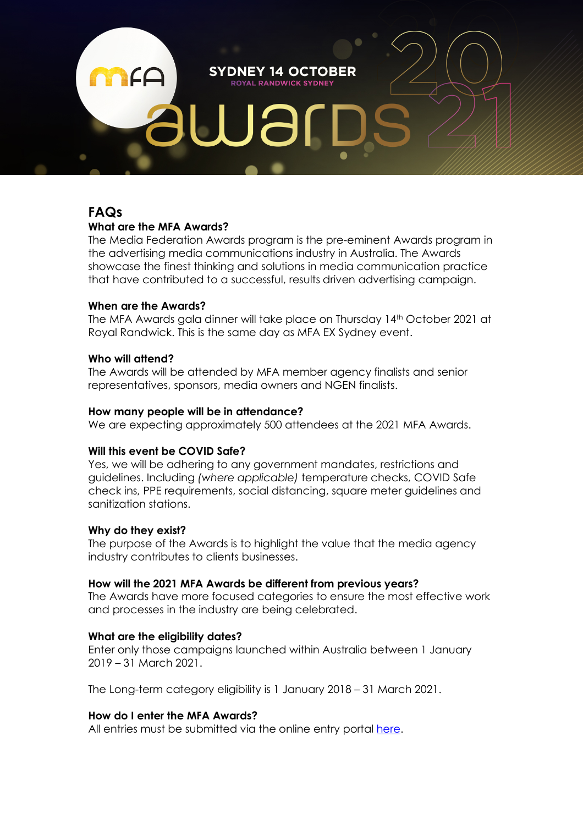**SYDNEY 14 OCTOBER ROYAL RANDWICK SYDNEY** 

# **FAQs**

# **What are the MFA Awards?**

The Media Federation Awards program is the pre-eminent Awards program in the advertising media communications industry in Australia. The Awards showcase the finest thinking and solutions in media communication practice that have contributed to a successful, results driven advertising campaign.

# **When are the Awards?**

The MFA Awards gala dinner will take place on Thursday 14th October 2021 at Royal Randwick. This is the same day as MFA EX Sydney event.

# **Who will attend?**

The Awards will be attended by MFA member agency finalists and senior representatives, sponsors, media owners and NGEN finalists.

# **How many people will be in attendance?**

We are expecting approximately 500 attendees at the 2021 MFA Awards.

# **Will this event be COVID Safe?**

Yes, we will be adhering to any government mandates, restrictions and guidelines. Including *(where applicable)* temperature checks, COVID Safe check ins, PPE requirements, social distancing, square meter guidelines and sanitization stations.

# **Why do they exist?**

The purpose of the Awards is to highlight the value that the media agency industry contributes to clients businesses.

### **How will the 2021 MFA Awards be different from previous years?**

The Awards have more focused categories to ensure the most effective work and processes in the industry are being celebrated.

# **What are the eligibility dates?**

Enter only those campaigns launched within Australia between 1 January 2019 – 31 March 2021.

The Long-term category eligibility is 1 January 2018 – 31 March 2021.

# **How do I enter the MFA Awards?**

All entries must be submitted via the online entry portal here.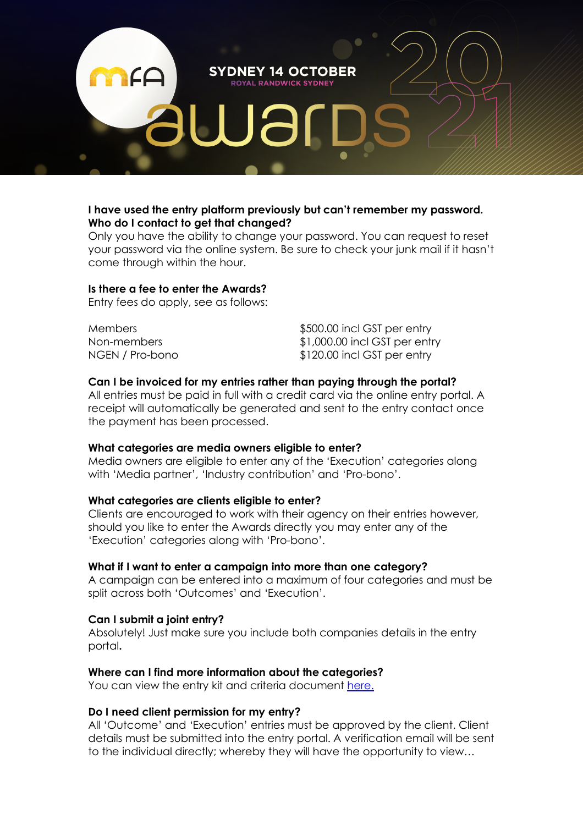

# **I have used the entry platform previously but can't remember my password. Who do I contact to get that changed?**

Only you have the ability to change your password. You can request to reset your password via the online system. Be sure to check your junk mail if it hasn't come through within the hour.

#### **Is there a fee to enter the Awards?**

Entry fees do apply, see as follows:

Members  $$500.00$  incl GST per entry Non-members  $$1,000.00$  incl GST per entry NGEN / Pro-bono  $$120.00$  incl GST per entry

### **Can I be invoiced for my entries rather than paying through the portal?**

All entries must be paid in full with a credit card via the online entry portal. A receipt will automatically be generated and sent to the entry contact once the payment has been processed.

### **What categories are media owners eligible to enter?**

Media owners are eligible to enter any of the 'Execution' categories along with 'Media partner', 'Industry contribution' and 'Pro-bono'.

### **What categories are clients eligible to enter?**

Clients are encouraged to work with their agency on their entries however, should you like to enter the Awards directly you may enter any of the 'Execution' categories along with 'Pro-bono'.

### **What if I want to enter a campaign into more than one category?**

A campaign can be entered into a maximum of four categories and must be split across both 'Outcomes' and 'Execution'.

### **Can I submit a joint entry?**

Absolutely! Just make sure you include both companies details in the entry portal**.**

### **Where can I find more information about the categories?**

You can view the entry kit and criteria document here.

#### **Do I need client permission for my entry?**

All 'Outcome' and 'Execution' entries must be approved by the client. Client details must be submitted into the entry portal. A verification email will be sent to the individual directly; whereby they will have the opportunity to view…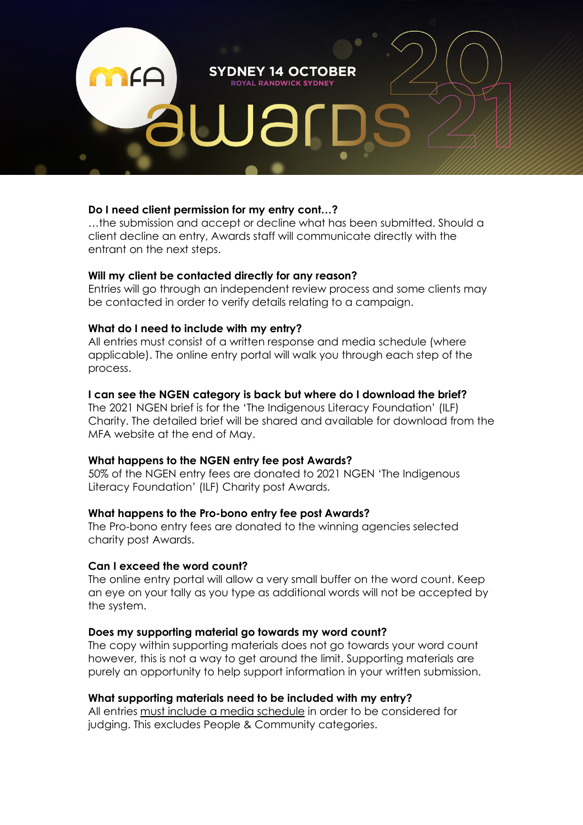# **Do I need client permission for my entry cont…?**

…the submission and accept or decline what has been submitted. Should a client decline an entry, Awards staff will communicate directly with the entrant on the next steps.

**SYDNEY 14 OCTOBER ROYAL RANDWICK SYDNEY** 

### **Will my client be contacted directly for any reason?**

Entries will go through an independent review process and some clients may be contacted in order to verify details relating to a campaign.

# **What do I need to include with my entry?**

All entries must consist of a written response and media schedule (where applicable). The online entry portal will walk you through each step of the process.

# **I can see the NGEN category is back but where do I download the brief?**

The 2021 NGEN brief is for the 'The Indigenous Literacy Foundation' (ILF) Charity. The detailed brief will be shared and available for download from the MFA website at the end of May.

### **What happens to the NGEN entry fee post Awards?**

50% of the NGEN entry fees are donated to 2021 NGEN 'The Indigenous Literacy Foundation' (ILF) Charity post Awards.

### **What happens to the Pro-bono entry fee post Awards?**

The Pro-bono entry fees are donated to the winning agencies selected charity post Awards.

# **Can I exceed the word count?**

The online entry portal will allow a very small buffer on the word count. Keep an eye on your tally as you type as additional words will not be accepted by the system.

### **Does my supporting material go towards my word count?**

The copy within supporting materials does not go towards your word count however, this is not a way to get around the limit. Supporting materials are purely an opportunity to help support information in your written submission.

# **What supporting materials need to be included with my entry?**

All entries must include a media schedule in order to be considered for judging. This excludes People & Community categories.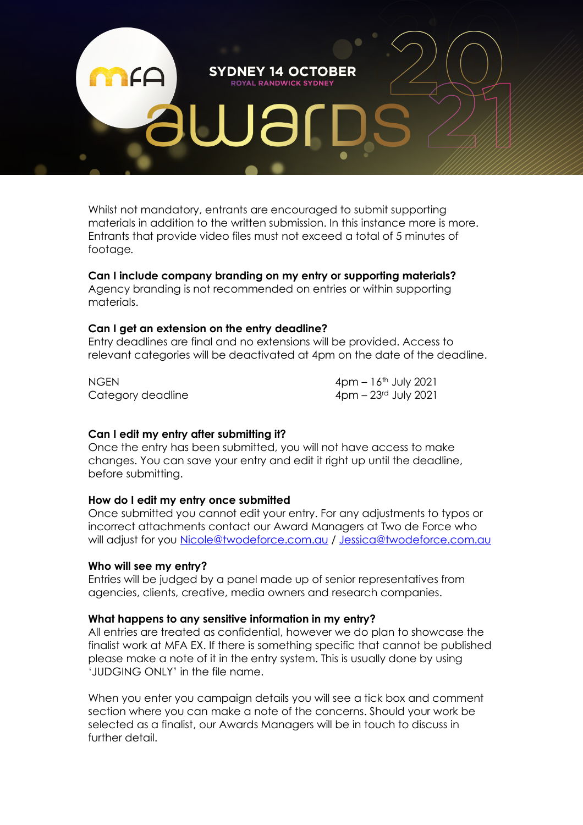

Whilst not mandatory, entrants are encouraged to submit supporting materials in addition to the written submission. In this instance more is more. Entrants that provide video files must not exceed a total of 5 minutes of footage*.*

# **Can I include company branding on my entry or supporting materials?**

Agency branding is not recommended on entries or within supporting materials.

#### **Can I get an extension on the entry deadline?**

Entry deadlines are final and no extensions will be provided. Access to relevant categories will be deactivated at 4pm on the date of the deadline.

Category deadline 4pm – 23<sup>rd</sup> July 2021

NGEN 4pm – 16<sup>th</sup> July 2021

# **Can I edit my entry after submitting it?**

Once the entry has been submitted, you will not have access to make changes. You can save your entry and edit it right up until the deadline, before submitting.

#### **How do I edit my entry once submitted**

Once submitted you cannot edit your entry. For any adjustments to typos or incorrect attachments contact our Award Managers at Two de Force who will adjust for you Nicole@twodeforce.com.au / Jessica@twodeforce.com.au

#### **Who will see my entry?**

Entries will be judged by a panel made up of senior representatives from agencies, clients, creative, media owners and research companies.

#### **What happens to any sensitive information in my entry?**

All entries are treated as confidential, however we do plan to showcase the finalist work at MFA EX. If there is something specific that cannot be published please make a note of it in the entry system. This is usually done by using 'JUDGING ONLY' in the file name.

When you enter you campaign details you will see a tick box and comment section where you can make a note of the concerns. Should your work be selected as a finalist, our Awards Managers will be in touch to discuss in further detail.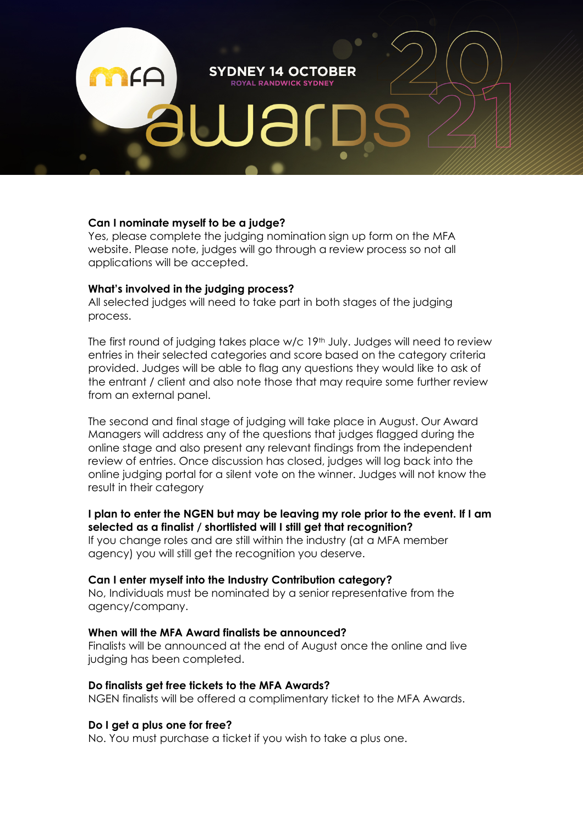**SYDNEY 14 OCTOBER ROYAL RANDWICK SYDNEY** 

### **Can I nominate myself to be a judge?**

Yes, please complete the judging nomination sign up form on the MFA website. Please note, judges will go through a review process so not all applications will be accepted.

### **What's involved in the judging process?**

All selected judges will need to take part in both stages of the judging process.

The first round of judging takes place w/c 19<sup>th</sup> July. Judges will need to review entries in their selected categories and score based on the category criteria provided. Judges will be able to flag any questions they would like to ask of the entrant / client and also note those that may require some further review from an external panel.

The second and final stage of judging will take place in August. Our Award Managers will address any of the questions that judges flagged during the online stage and also present any relevant findings from the independent review of entries. Once discussion has closed, judges will log back into the online judging portal for a silent vote on the winner. Judges will not know the result in their category

# **I plan to enter the NGEN but may be leaving my role prior to the event. If I am selected as a finalist / shortlisted will I still get that recognition?**

If you change roles and are still within the industry (at a MFA member agency) you will still get the recognition you deserve.

### **Can I enter myself into the Industry Contribution category?**

No, Individuals must be nominated by a senior representative from the agency/company.

#### **When will the MFA Award finalists be announced?**

Finalists will be announced at the end of August once the online and live judging has been completed.

#### **Do finalists get free tickets to the MFA Awards?**

NGEN finalists will be offered a complimentary ticket to the MFA Awards.

#### **Do I get a plus one for free?**

No. You must purchase a ticket if you wish to take a plus one.